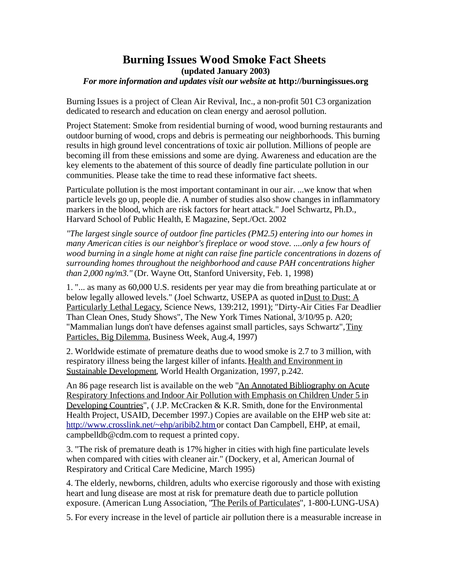## **Burning Issues Wood Smoke Fact Sheets (updated January 2003)** *For more information and updates visit our website at***: http://burningissues.org**

Burning Issues is a project of Clean Air Revival, Inc., a non-profit 501 C3 organization dedicated to research and education on clean energy and aerosol pollution.

Project Statement: Smoke from residential burning of wood, wood burning restaurants and outdoor burning of wood, crops and debris is permeating our neighborhoods. This burning results in high ground level concentrations of toxic air pollution. Millions of people are becoming ill from these emissions and some are dying. Awareness and education are the key elements to the abatement of this source of deadly fine particulate pollution in our communities. Please take the time to read these informative fact sheets.

Particulate pollution is the most important contaminant in our air. ...we know that when particle levels go up, people die. A number of studies also show changes in inflammatory markers in the blood, which are risk factors for heart attack." Joel Schwartz, Ph.D., Harvard School of Public Health, E Magazine, Sept./Oct. 2002

*"The largest single source of outdoor fine particles (PM2.5) entering into our homes in many American cities is our neighbor's fireplace or wood stove. ....only a few hours of wood burning in a single home at night can raise fine particle concentrations in dozens of surrounding homes throughout the neighborhood and cause PAH concentrations higher than 2,000 ng/m3."* (Dr. Wayne Ott, Stanford University, Feb. 1, 1998)

1. "... as many as 60,000 U.S. residents per year may die from breathing particulate at or below legally allowed levels." (Joel Schwartz, USEPA as quoted inDust to Dust: A Particularly Lethal Legacy, Science News, 139:212, 1991); "Dirty-Air Cities Far Deadlier Than Clean Ones, Study Shows", The New York Times National, 3/10/95 p. A20; "Mammalian lungs don't have defenses against small particles, says Schwartz", Tiny Particles, Big Dilemma, Business Week, Aug.4, 1997)

2. Worldwide estimate of premature deaths due to wood smoke is 2.7 to 3 million, with respiratory illness being the largest killer of infants.Health and Environment in Sustainable Development, World Health Organization, 1997, p.242.

An 86 page research list is available on the web "An Annotated Bibliography on Acute Respiratory Infections and Indoor Air Pollution with Emphasis on Children Under 5 in Developing Countries", (J.P. McCracken & K.R. Smith, done for the Environmental Health Project, USAID, December 1997.) Copies are available on the EHP web site at: http://www.crosslink.net/~ehp/aribib2.htm or contact Dan Campbell, EHP, at email, campbelldb@cdm.com to request a printed copy.

3. "The risk of premature death is 17% higher in cities with high fine particulate levels when compared with cities with cleaner air." (Dockery, et al, American Journal of Respiratory and Critical Care Medicine, March 1995)

4. The elderly, newborns, children, adults who exercise rigorously and those with existing heart and lung disease are most at risk for premature death due to particle pollution exposure. (American Lung Association, "The Perils of Particulates", 1-800-LUNG-USA)

5. For every increase in the level of particle air pollution there is a measurable increase in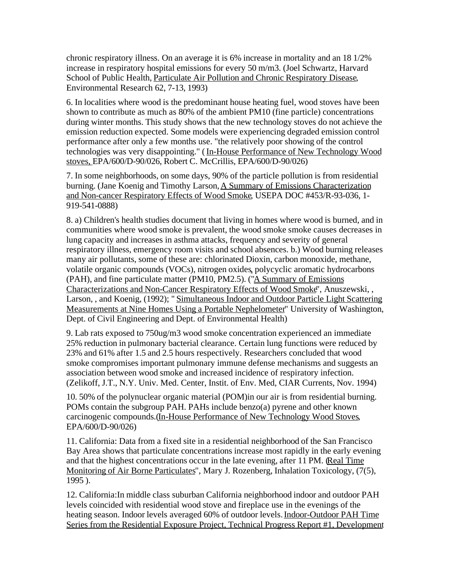chronic respiratory illness. On an average it is 6% increase in mortality and an 18 1/2% increase in respiratory hospital emissions for every 50 m/m3. (Joel Schwartz, Harvard School of Public Health, Particulate Air Pollution and Chronic Respiratory Disease, Environmental Research 62, 7-13, 1993)

6. In localities where wood is the predominant house heating fuel, wood stoves have been shown to contribute as much as 80% of the ambient PM10 (fine particle) concentrations during winter months. This study shows that the new technology stoves do not achieve the emission reduction expected. Some models were experiencing degraded emission control performance after only a few months use. "the relatively poor showing of the control technologies was very disappointing." (In-House Performance of New Technology Wood stoves, EPA/600/D-90/026, Robert C. McCrillis, EPA/600/D-90/026)

7. In some neighborhoods, on some days, 90% of the particle pollution is from residential burning. (Jane Koenig and Timothy Larson, A Summary of Emissions Characterization and Non-cancer Respiratory Effects of Wood Smoke, USEPA DOC #453/R-93-036, 1- 919-541-0888)

8. a) Children's health studies document that living in homes where wood is burned, and in communities where wood smoke is prevalent, the wood smoke smoke causes decreases in lung capacity and increases in asthma attacks, frequency and severity of general respiratory illness, emergency room visits and school absences. b.) Wood burning releases many air pollutants, some of these are: chlorinated Dioxin, carbon monoxide, methane, volatile organic compounds (VOCs), nitrogen oxides, polycyclic aromatic hydrocarbons (PAH), and fine particulate matter (PM10, PM2.5). ("A Summary of Emissions Characterizations and Non-Cancer Respiratory Effects of Wood Smoke", Anuszewski, , Larson, , and Koenig, (1992); " Simultaneous Indoor and Outdoor Particle Light Scattering Measurements at Nine Homes Using a Portable Nephelometer" University of Washington, Dept. of Civil Engineering and Dept. of Environmental Health)

9. Lab rats exposed to 750ug/m3 wood smoke concentration experienced an immediate 25% reduction in pulmonary bacterial clearance. Certain lung functions were reduced by 23% and 61% after 1.5 and 2.5 hours respectively. Researchers concluded that wood smoke compromises important pulmonary immune defense mechanisms and suggests an association between wood smoke and increased incidence of respiratory infection. (Zelikoff, J.T., N.Y. Univ. Med. Center, Instit. of Env. Med, CIAR Currents, Nov. 1994)

10. 50% of the polynuclear organic material (POM)in our air is from residential burning. POMs contain the subgroup PAH. PAHs include benzo(a) pyrene and other known carcinogenic compounds.(In-House Performance of New Technology Wood Stoves, EPA/600/D-90/026)

11. California: Data from a fixed site in a residential neighborhood of the San Francisco Bay Area shows that particulate concentrations increase most rapidly in the early evening and that the highest concentrations occur in the late evening, after 11 PM. (Real Time Monitoring of Air Borne Particulates", Mary J. Rozenberg, Inhalation Toxicology, (7(5), 1995 ).

12. California:In middle class suburban California neighborhood indoor and outdoor PAH levels coincided with residential wood stove and fireplace use in the evenings of the heating season. Indoor levels averaged 60% of outdoor levels. Indoor-Outdoor PAH Time Series from the Residential Exposure Project, Technical Progress Report #1, Development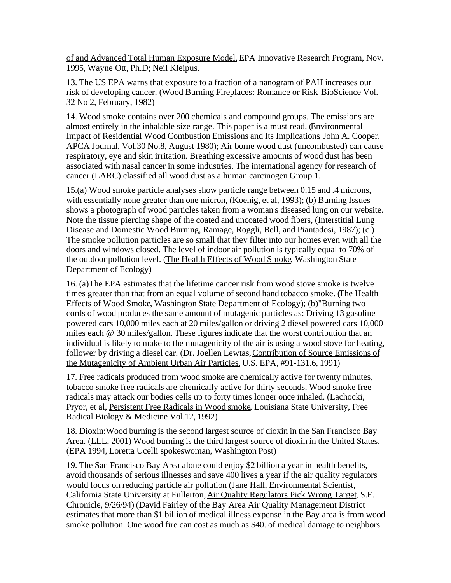of and Advanced Total Human Exposure Model, EPA Innovative Research Program, Nov. 1995, Wayne Ott, Ph.D; Neil Kleipus.

13. The US EPA warns that exposure to a fraction of a nanogram of PAH increases our risk of developing cancer. (Wood Burning Fireplaces: Romance or Risk, BioScience Vol. 32 No 2, February, 1982)

14. Wood smoke contains over 200 chemicals and compound groups. The emissions are almost entirely in the inhalable size range. This paper is a must read. (Environmental Impact of Residential Wood Combustion Emissions and Its Implications, John A. Cooper, APCA Journal, Vol.30 No.8, August 1980); Air borne wood dust (uncombusted) can cause respiratory, eye and skin irritation. Breathing excessive amounts of wood dust has been associated with nasal cancer in some industries. The international agency for research of cancer (LARC) classified all wood dust as a human carcinogen Group 1.

15.(a) Wood smoke particle analyses show particle range between 0.15 and .4 microns, with essentially none greater than one micron, (Koenig, et al, 1993); (b) Burning Issues shows a photograph of wood particles taken from a woman's diseased lung on our website. Note the tissue piercing shape of the coated and uncoated wood fibers, (Interstitial Lung Disease and Domestic Wood Burning, Ramage, Roggli, Bell, and Piantadosi, 1987); (c ) The smoke pollution particles are so small that they filter into our homes even with all the doors and windows closed. The level of indoor air pollution is typically equal to 70% of the outdoor pollution level. (The Health Effects of Wood Smoke, Washington State Department of Ecology)

16. (a)The EPA estimates that the lifetime cancer risk from wood stove smoke is twelve times greater than that from an equal volume of second hand tobacco smoke. (The Health Effects of Wood Smoke, Washington State Department of Ecology); (b)"Burning two cords of wood produces the same amount of mutagenic particles as: Driving 13 gasoline powered cars 10,000 miles each at 20 miles/gallon or driving 2 diesel powered cars 10,000 miles each @ 30 miles/gallon. These figures indicate that the worst contribution that an individual is likely to make to the mutagenicity of the air is using a wood stove for heating, follower by driving a diesel car. (Dr. Joellen Lewtas, Contribution of Source Emissions of the Mutagenicity of Ambient Urban Air Particles, U.S. EPA, #91-131.6, 1991)

17. Free radicals produced from wood smoke are chemically active for twenty minutes, tobacco smoke free radicals are chemically active for thirty seconds. Wood smoke free radicals may attack our bodies cells up to forty times longer once inhaled. (Lachocki, Pryor, et al, Persistent Free Radicals in Wood smoke, Louisiana State University, Free Radical Biology & Medicine Vol.12, 1992)

18. Dioxin:Wood burning is the second largest source of dioxin in the San Francisco Bay Area. (LLL, 2001) Wood burning is the third largest source of dioxin in the United States. (EPA 1994, Loretta Ucelli spokeswoman, Washington Post)

19. The San Francisco Bay Area alone could enjoy \$2 billion a year in health benefits, avoid thousands of serious illnesses and save 400 lives a year if the air quality regulators would focus on reducing particle air pollution (Jane Hall, Environmental Scientist, California State University at Fullerton, Air Quality Regulators Pick Wrong Target, S.F. Chronicle, 9/26/94) (David Fairley of the Bay Area Air Quality Management District estimates that more than \$1 billion of medical illness expense in the Bay area is from wood smoke pollution. One wood fire can cost as much as \$40. of medical damage to neighbors.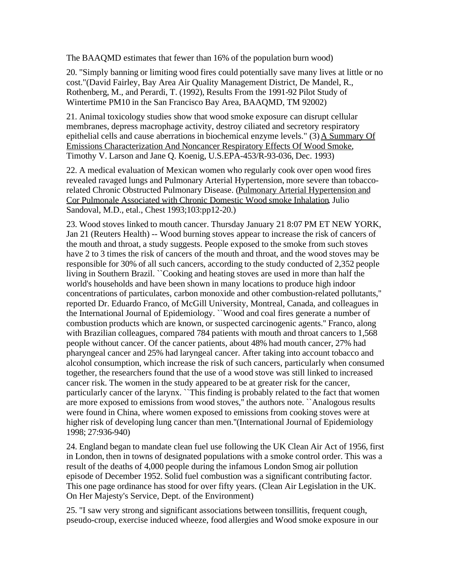The BAAQMD estimates that fewer than 16% of the population burn wood)

20. "Simply banning or limiting wood fires could potentially save many lives at little or no cost."(David Fairley, Bay Area Air Quality Management District, De Mandel, R., Rothenberg, M., and Perardi, T. (1992), Results From the 1991-92 Pilot Study of Wintertime PM10 in the San Francisco Bay Area, BAAQMD, TM 92002)

21. Animal toxicology studies show that wood smoke exposure can disrupt cellular membranes, depress macrophage activity, destroy ciliated and secretory respiratory epithelial cells and cause aberrations in biochemical enzyme levels." (3)A Summary Of Emissions Characterization And Noncancer Respiratory Effects Of Wood Smoke, Timothy V. Larson and Jane Q. Koenig, U.S.EPA-453/R-93-036, Dec. 1993)

22. A medical evaluation of Mexican women who regularly cook over open wood fires revealed ravaged lungs and Pulmonary Arterial Hypertension, more severe than tobaccorelated Chronic Obstructed Pulmonary Disease. (Pulmonary Arterial Hypertension and Cor Pulmonale Associated with Chronic Domestic Wood smoke Inhalation, Julio Sandoval, M.D., etal., Chest 1993;103:pp12-20.)

23. Wood stoves linked to mouth cancer. Thursday January 21 8:07 PM ET NEW YORK, Jan 21 (Reuters Health) -- Wood burning stoves appear to increase the risk of cancers of the mouth and throat, a study suggests. People exposed to the smoke from such stoves have 2 to 3 times the risk of cancers of the mouth and throat, and the wood stoves may be responsible for 30% of all such cancers, according to the study conducted of 2,352 people living in Southern Brazil. ``Cooking and heating stoves are used in more than half the world's households and have been shown in many locations to produce high indoor concentrations of particulates, carbon monoxide and other combustion-related pollutants,'' reported Dr. Eduardo Franco, of McGill University, Montreal, Canada, and colleagues in the International Journal of Epidemiology. ``Wood and coal fires generate a number of combustion products which are known, or suspected carcinogenic agents.'' Franco, along with Brazilian colleagues, compared 784 patients with mouth and throat cancers to 1,568 people without cancer. Of the cancer patients, about 48% had mouth cancer, 27% had pharyngeal cancer and 25% had laryngeal cancer. After taking into account tobacco and alcohol consumption, which increase the risk of such cancers, particularly when consumed together, the researchers found that the use of a wood stove was still linked to increased cancer risk. The women in the study appeared to be at greater risk for the cancer, particularly cancer of the larynx. ``This finding is probably related to the fact that women are more exposed to emissions from wood stoves,'' the authors note. ``Analogous results were found in China, where women exposed to emissions from cooking stoves were at higher risk of developing lung cancer than men.''(International Journal of Epidemiology 1998; 27:936-940)

24. England began to mandate clean fuel use following the UK Clean Air Act of 1956, first in London, then in towns of designated populations with a smoke control order. This was a result of the deaths of 4,000 people during the infamous London Smog air pollution episode of December 1952. Solid fuel combustion was a significant contributing factor. This one page ordinance has stood for over fifty years. (Clean Air Legislation in the UK. On Her Majesty's Service, Dept. of the Environment)

25. "I saw very strong and significant associations between tonsillitis, frequent cough, pseudo-croup, exercise induced wheeze, food allergies and Wood smoke exposure in our